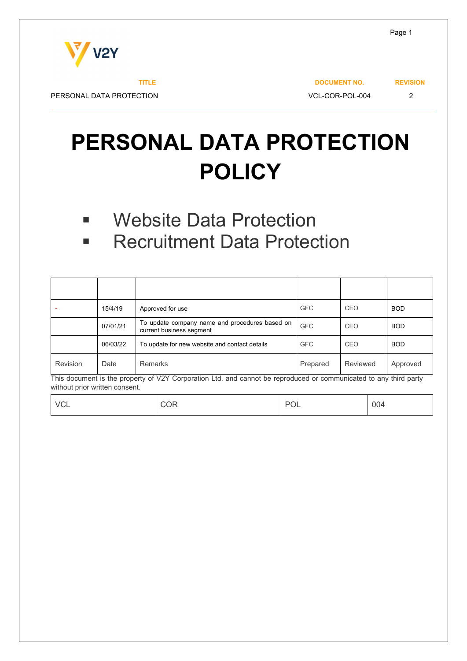

PERSONAL DATA PROTECTION  $\sqrt{2}$ 

**TITLE** DOCUMENT NO. REVISION

# **PERSONAL DATA PROTECTION POLICY**

- **E** Website Data Protection
- **Recruitment Data Protection**

| -        | 15/4/19  | Approved for use                                                           | <b>GFC</b> | CEO      | <b>BOD</b> |
|----------|----------|----------------------------------------------------------------------------|------------|----------|------------|
|          | 07/01/21 | To update company name and procedures based on<br>current business segment | <b>GFC</b> | CEO      | <b>BOD</b> |
|          | 06/03/22 | To update for new website and contact details                              | <b>GFC</b> | CEO      | <b>BOD</b> |
| Revision | Date     | <b>Remarks</b>                                                             | Prepared   | Reviewed | Approved   |

This document is the property of V2Y Corporation Ltd. and cannot be reproduced or communicated to any third party without prior written consent.

| VCL | COR | POL | 004 |
|-----|-----|-----|-----|
|-----|-----|-----|-----|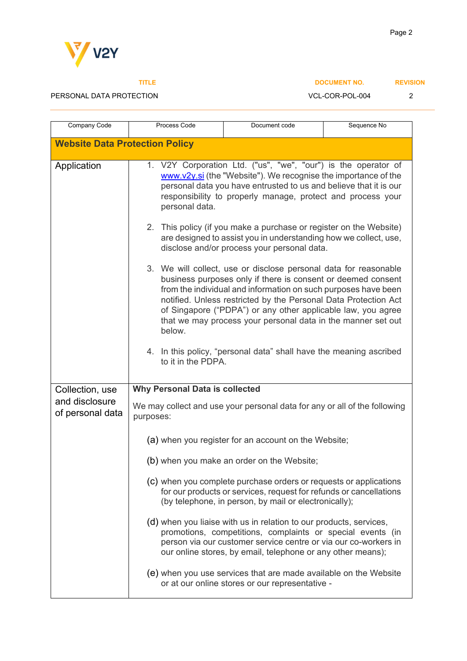

 $\mathbf l$ 

Company Code | Process Code | Document code

### PERSONAL DATA PROTECTION DESCRIPTION AND VCL-COR-POL-004 2

| VCL-COR-POL-00 |  |
|----------------|--|
|----------------|--|

| Sequence No |
|-------------|
|             |

| <b>Website Data Protection Policy</b>                 |                                                                                                                                                                                                                                                                                                                                                                                                                 |  |
|-------------------------------------------------------|-----------------------------------------------------------------------------------------------------------------------------------------------------------------------------------------------------------------------------------------------------------------------------------------------------------------------------------------------------------------------------------------------------------------|--|
| Application                                           | 1. V2Y Corporation Ltd. ("us", "we", "our") is the operator of<br>www.v2y.si (the "Website"). We recognise the importance of the<br>personal data you have entrusted to us and believe that it is our<br>responsibility to properly manage, protect and process your<br>personal data.                                                                                                                          |  |
|                                                       | 2. This policy (if you make a purchase or register on the Website)<br>are designed to assist you in understanding how we collect, use,<br>disclose and/or process your personal data.                                                                                                                                                                                                                           |  |
|                                                       | 3. We will collect, use or disclose personal data for reasonable<br>business purposes only if there is consent or deemed consent<br>from the individual and information on such purposes have been<br>notified. Unless restricted by the Personal Data Protection Act<br>of Singapore ("PDPA") or any other applicable law, you agree<br>that we may process your personal data in the manner set out<br>below. |  |
|                                                       | 4. In this policy, "personal data" shall have the meaning ascribed<br>to it in the PDPA.                                                                                                                                                                                                                                                                                                                        |  |
| Collection, use<br>and disclosure<br>of personal data | <b>Why Personal Data is collected</b><br>We may collect and use your personal data for any or all of the following<br>purposes:                                                                                                                                                                                                                                                                                 |  |
|                                                       | (a) when you register for an account on the Website;                                                                                                                                                                                                                                                                                                                                                            |  |
|                                                       | (b) when you make an order on the Website;                                                                                                                                                                                                                                                                                                                                                                      |  |
|                                                       |                                                                                                                                                                                                                                                                                                                                                                                                                 |  |
|                                                       | (c) when you complete purchase orders or requests or applications<br>for our products or services, request for refunds or cancellations<br>(by telephone, in person, by mail or electronically);                                                                                                                                                                                                                |  |
|                                                       | (d) when you liaise with us in relation to our products, services,<br>promotions, competitions, complaints or special events (in<br>person via our customer service centre or via our co-workers in<br>our online stores, by email, telephone or any other means);                                                                                                                                              |  |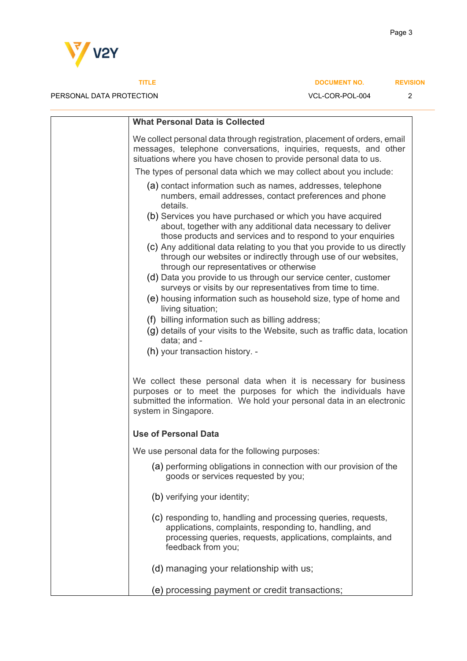

| <b>What Personal Data is Collected</b>                                                                                                                                                                                                                                                                                                    |
|-------------------------------------------------------------------------------------------------------------------------------------------------------------------------------------------------------------------------------------------------------------------------------------------------------------------------------------------|
| We collect personal data through registration, placement of orders, email<br>messages, telephone conversations, inquiries, requests, and other<br>situations where you have chosen to provide personal data to us.                                                                                                                        |
| The types of personal data which we may collect about you include:                                                                                                                                                                                                                                                                        |
| (a) contact information such as names, addresses, telephone<br>numbers, email addresses, contact preferences and phone<br>details.                                                                                                                                                                                                        |
| (b) Services you have purchased or which you have acquired<br>about, together with any additional data necessary to deliver<br>those products and services and to respond to your enquiries<br>(c) Any additional data relating to you that you provide to us directly<br>through our websites or indirectly through use of our websites, |
| through our representatives or otherwise                                                                                                                                                                                                                                                                                                  |
| (d) Data you provide to us through our service center, customer<br>surveys or visits by our representatives from time to time.                                                                                                                                                                                                            |
| (e) housing information such as household size, type of home and                                                                                                                                                                                                                                                                          |
| living situation;                                                                                                                                                                                                                                                                                                                         |
| (f) billing information such as billing address;<br>$(q)$ details of your visits to the Website, such as traffic data, location                                                                                                                                                                                                           |
| data; and -                                                                                                                                                                                                                                                                                                                               |
| (h) your transaction history. -                                                                                                                                                                                                                                                                                                           |
| We collect these personal data when it is necessary for business<br>purposes or to meet the purposes for which the individuals have<br>submitted the information. We hold your personal data in an electronic<br>system in Singapore.                                                                                                     |
| <b>Use of Personal Data</b>                                                                                                                                                                                                                                                                                                               |
| We use personal data for the following purposes:                                                                                                                                                                                                                                                                                          |
| (a) performing obligations in connection with our provision of the<br>goods or services requested by you;                                                                                                                                                                                                                                 |
| (b) verifying your identity;                                                                                                                                                                                                                                                                                                              |
| (c) responding to, handling and processing queries, requests,<br>applications, complaints, responding to, handling, and<br>processing queries, requests, applications, complaints, and<br>feedback from you;                                                                                                                              |
| (d) managing your relationship with us;                                                                                                                                                                                                                                                                                                   |
| (e) processing payment or credit transactions;                                                                                                                                                                                                                                                                                            |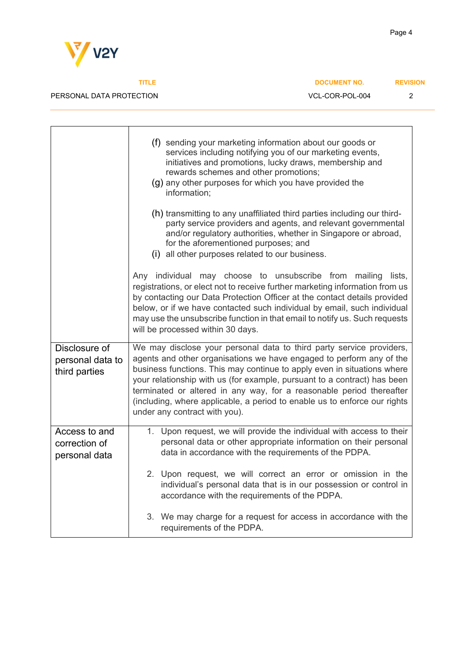

**TITLE** DOCUMENT NO. REVISION

Page 4

|                                                    | (f) sending your marketing information about our goods or<br>services including notifying you of our marketing events,<br>initiatives and promotions, lucky draws, membership and<br>rewards schemes and other promotions;<br>(g) any other purposes for which you have provided the<br>information;                                                                                                                                                                                      |  |
|----------------------------------------------------|-------------------------------------------------------------------------------------------------------------------------------------------------------------------------------------------------------------------------------------------------------------------------------------------------------------------------------------------------------------------------------------------------------------------------------------------------------------------------------------------|--|
|                                                    | (h) transmitting to any unaffiliated third parties including our third-<br>party service providers and agents, and relevant governmental<br>and/or regulatory authorities, whether in Singapore or abroad,<br>for the aforementioned purposes; and<br>(i) all other purposes related to our business.                                                                                                                                                                                     |  |
|                                                    | Any individual may choose to unsubscribe from mailing lists,<br>registrations, or elect not to receive further marketing information from us<br>by contacting our Data Protection Officer at the contact details provided<br>below, or if we have contacted such individual by email, such individual<br>may use the unsubscribe function in that email to notify us. Such requests<br>will be processed within 30 days.                                                                  |  |
| Disclosure of<br>personal data to<br>third parties | We may disclose your personal data to third party service providers,<br>agents and other organisations we have engaged to perform any of the<br>business functions. This may continue to apply even in situations where<br>your relationship with us (for example, pursuant to a contract) has been<br>terminated or altered in any way, for a reasonable period thereafter<br>(including, where applicable, a period to enable us to enforce our rights<br>under any contract with you). |  |
| Access to and<br>correction of<br>personal data    | 1. Upon request, we will provide the individual with access to their<br>personal data or other appropriate information on their personal<br>data in accordance with the requirements of the PDPA.                                                                                                                                                                                                                                                                                         |  |
|                                                    | 2. Upon request, we will correct an error or omission in the<br>individual's personal data that is in our possession or control in<br>accordance with the requirements of the PDPA.                                                                                                                                                                                                                                                                                                       |  |
|                                                    | 3. We may charge for a request for access in accordance with the<br>requirements of the PDPA.                                                                                                                                                                                                                                                                                                                                                                                             |  |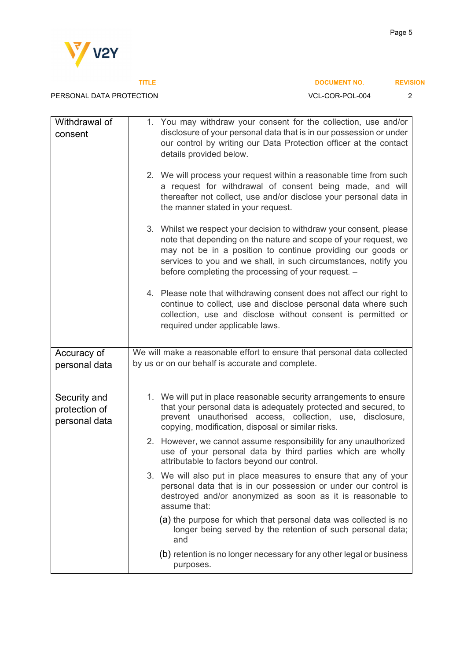

PERSONAL DATA PROTECTION DESCRIPTION AND VCL-COR-POL-004 2

| Withdrawal of<br>consent                       | 1. You may withdraw your consent for the collection, use and/or<br>disclosure of your personal data that is in our possession or under<br>our control by writing our Data Protection officer at the contact<br>details provided below.                                                                                          |
|------------------------------------------------|---------------------------------------------------------------------------------------------------------------------------------------------------------------------------------------------------------------------------------------------------------------------------------------------------------------------------------|
|                                                | 2. We will process your request within a reasonable time from such<br>a request for withdrawal of consent being made, and will<br>thereafter not collect, use and/or disclose your personal data in<br>the manner stated in your request.                                                                                       |
|                                                | 3. Whilst we respect your decision to withdraw your consent, please<br>note that depending on the nature and scope of your request, we<br>may not be in a position to continue providing our goods or<br>services to you and we shall, in such circumstances, notify you<br>before completing the processing of your request. - |
|                                                | 4. Please note that withdrawing consent does not affect our right to<br>continue to collect, use and disclose personal data where such<br>collection, use and disclose without consent is permitted or<br>required under applicable laws.                                                                                       |
| Accuracy of<br>personal data                   | We will make a reasonable effort to ensure that personal data collected<br>by us or on our behalf is accurate and complete.                                                                                                                                                                                                     |
| Security and<br>protection of<br>personal data | 1. We will put in place reasonable security arrangements to ensure<br>that your personal data is adequately protected and secured, to<br>prevent unauthorised access, collection, use, disclosure,<br>copying, modification, disposal or similar risks.                                                                         |
|                                                | 2. However, we cannot assume responsibility for any unauthorized<br>use of your personal data by third parties which are wholly<br>attributable to factors beyond our control.                                                                                                                                                  |
|                                                | 3. We will also put in place measures to ensure that any of your<br>personal data that is in our possession or under our control is<br>destroyed and/or anonymized as soon as it is reasonable to<br>assume that:                                                                                                               |
|                                                | (a) the purpose for which that personal data was collected is no<br>longer being served by the retention of such personal data;<br>and                                                                                                                                                                                          |
|                                                | (b) retention is no longer necessary for any other legal or business<br>purposes.                                                                                                                                                                                                                                               |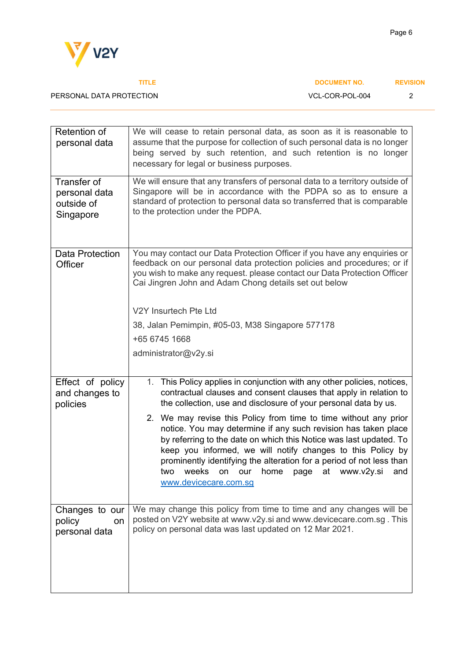

| Retention of<br>personal data                           | We will cease to retain personal data, as soon as it is reasonable to<br>assume that the purpose for collection of such personal data is no longer<br>being served by such retention, and such retention is no longer<br>necessary for legal or business purposes.                                                                                                                                                                                                                                                                                                                                                                             |  |
|---------------------------------------------------------|------------------------------------------------------------------------------------------------------------------------------------------------------------------------------------------------------------------------------------------------------------------------------------------------------------------------------------------------------------------------------------------------------------------------------------------------------------------------------------------------------------------------------------------------------------------------------------------------------------------------------------------------|--|
| Transfer of<br>personal data<br>outside of<br>Singapore | We will ensure that any transfers of personal data to a territory outside of<br>Singapore will be in accordance with the PDPA so as to ensure a<br>standard of protection to personal data so transferred that is comparable<br>to the protection under the PDPA.                                                                                                                                                                                                                                                                                                                                                                              |  |
| <b>Data Protection</b><br>Officer                       | You may contact our Data Protection Officer if you have any enquiries or<br>feedback on our personal data protection policies and procedures; or if<br>you wish to make any request. please contact our Data Protection Officer<br>Cai Jingren John and Adam Chong details set out below<br>V2Y Insurtech Pte Ltd<br>38, Jalan Pemimpin, #05-03, M38 Singapore 577178<br>+65 6745 1668<br>administrator@v2y.si                                                                                                                                                                                                                                 |  |
| Effect of policy<br>and changes to<br>policies          | This Policy applies in conjunction with any other policies, notices,<br>1.<br>contractual clauses and consent clauses that apply in relation to<br>the collection, use and disclosure of your personal data by us.<br>2. We may revise this Policy from time to time without any prior<br>notice. You may determine if any such revision has taken place<br>by referring to the date on which this Notice was last updated. To<br>keep you informed, we will notify changes to this Policy by<br>prominently identifying the alteration for a period of not less than<br>two weeks on our home page at www.v2y.si and<br>www.devicecare.com.sg |  |
| Changes to our<br>policy<br>on<br>personal data         | We may change this policy from time to time and any changes will be<br>posted on V2Y website at www.v2y.si and www.devicecare.com.sg. This<br>policy on personal data was last updated on 12 Mar 2021.                                                                                                                                                                                                                                                                                                                                                                                                                                         |  |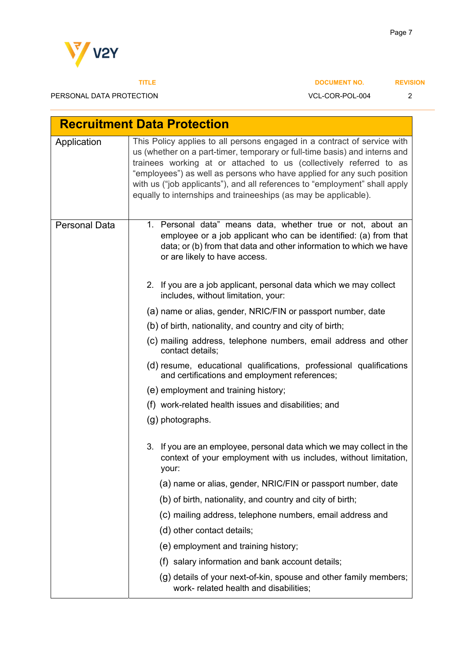

| <b>Recruitment Data Protection</b> |                                                                                                                                                                                                                                                                                                                                                                                                                                                         |  |  |
|------------------------------------|---------------------------------------------------------------------------------------------------------------------------------------------------------------------------------------------------------------------------------------------------------------------------------------------------------------------------------------------------------------------------------------------------------------------------------------------------------|--|--|
| Application                        | This Policy applies to all persons engaged in a contract of service with<br>us (whether on a part-timer, temporary or full-time basis) and interns and<br>trainees working at or attached to us (collectively referred to as<br>"employees") as well as persons who have applied for any such position<br>with us ("job applicants"), and all references to "employment" shall apply<br>equally to internships and traineeships (as may be applicable). |  |  |
| <b>Personal Data</b>               | 1. Personal data" means data, whether true or not, about an<br>employee or a job applicant who can be identified: (a) from that<br>data; or (b) from that data and other information to which we have<br>or are likely to have access.                                                                                                                                                                                                                  |  |  |
|                                    | 2. If you are a job applicant, personal data which we may collect<br>includes, without limitation, your:                                                                                                                                                                                                                                                                                                                                                |  |  |
|                                    | (a) name or alias, gender, NRIC/FIN or passport number, date                                                                                                                                                                                                                                                                                                                                                                                            |  |  |
|                                    | (b) of birth, nationality, and country and city of birth;                                                                                                                                                                                                                                                                                                                                                                                               |  |  |
|                                    | (c) mailing address, telephone numbers, email address and other<br>contact details;                                                                                                                                                                                                                                                                                                                                                                     |  |  |
|                                    | (d) resume, educational qualifications, professional qualifications<br>and certifications and employment references;                                                                                                                                                                                                                                                                                                                                    |  |  |
|                                    | (e) employment and training history;                                                                                                                                                                                                                                                                                                                                                                                                                    |  |  |
|                                    | (f) work-related health issues and disabilities; and                                                                                                                                                                                                                                                                                                                                                                                                    |  |  |
|                                    | (g) photographs.                                                                                                                                                                                                                                                                                                                                                                                                                                        |  |  |
|                                    | 3. If you are an employee, personal data which we may collect in the<br>context of your employment with us includes, without limitation,<br>your:                                                                                                                                                                                                                                                                                                       |  |  |
|                                    | (a) name or alias, gender, NRIC/FIN or passport number, date                                                                                                                                                                                                                                                                                                                                                                                            |  |  |
|                                    | (b) of birth, nationality, and country and city of birth;                                                                                                                                                                                                                                                                                                                                                                                               |  |  |
|                                    | (c) mailing address, telephone numbers, email address and                                                                                                                                                                                                                                                                                                                                                                                               |  |  |
|                                    | (d) other contact details;                                                                                                                                                                                                                                                                                                                                                                                                                              |  |  |
|                                    | (e) employment and training history;                                                                                                                                                                                                                                                                                                                                                                                                                    |  |  |
|                                    | (f) salary information and bank account details;                                                                                                                                                                                                                                                                                                                                                                                                        |  |  |
|                                    | (g) details of your next-of-kin, spouse and other family members;<br>work- related health and disabilities;                                                                                                                                                                                                                                                                                                                                             |  |  |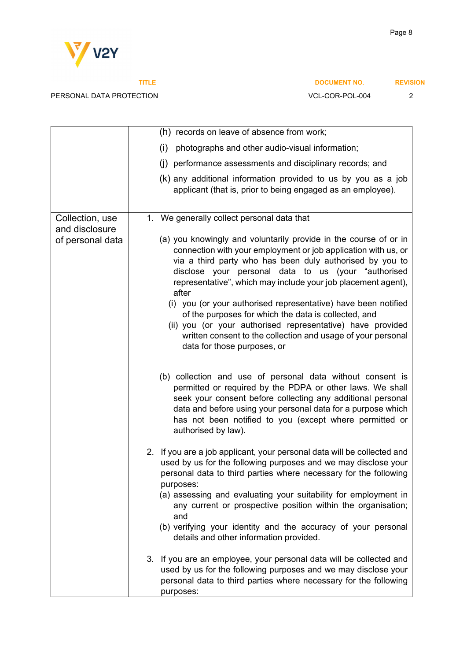

|                  | (h) records on leave of absence from work;                                                                                                                                                                                                                                                                                               |
|------------------|------------------------------------------------------------------------------------------------------------------------------------------------------------------------------------------------------------------------------------------------------------------------------------------------------------------------------------------|
|                  | photographs and other audio-visual information;<br>(i)                                                                                                                                                                                                                                                                                   |
|                  | (j) performance assessments and disciplinary records; and                                                                                                                                                                                                                                                                                |
|                  | (k) any additional information provided to us by you as a job<br>applicant (that is, prior to being engaged as an employee).                                                                                                                                                                                                             |
| Collection, use  | 1. We generally collect personal data that                                                                                                                                                                                                                                                                                               |
| and disclosure   |                                                                                                                                                                                                                                                                                                                                          |
| of personal data | (a) you knowingly and voluntarily provide in the course of or in<br>connection with your employment or job application with us, or<br>via a third party who has been duly authorised by you to<br>disclose your personal data to us (your "authorised<br>representative", which may include your job placement agent),<br>after          |
|                  | (i) you (or your authorised representative) have been notified<br>of the purposes for which the data is collected, and<br>(ii) you (or your authorised representative) have provided<br>written consent to the collection and usage of your personal<br>data for those purposes, or                                                      |
|                  | (b) collection and use of personal data without consent is<br>permitted or required by the PDPA or other laws. We shall<br>seek your consent before collecting any additional personal<br>data and before using your personal data for a purpose which<br>has not been notified to you (except where permitted or<br>authorised by law). |
|                  | 2. If you are a job applicant, your personal data will be collected and<br>used by us for the following purposes and we may disclose your<br>personal data to third parties where necessary for the following<br>purposes:                                                                                                               |
|                  | (a) assessing and evaluating your suitability for employment in<br>any current or prospective position within the organisation;<br>and                                                                                                                                                                                                   |
|                  | (b) verifying your identity and the accuracy of your personal<br>details and other information provided.                                                                                                                                                                                                                                 |
|                  | 3. If you are an employee, your personal data will be collected and<br>used by us for the following purposes and we may disclose your<br>personal data to third parties where necessary for the following<br>purposes:                                                                                                                   |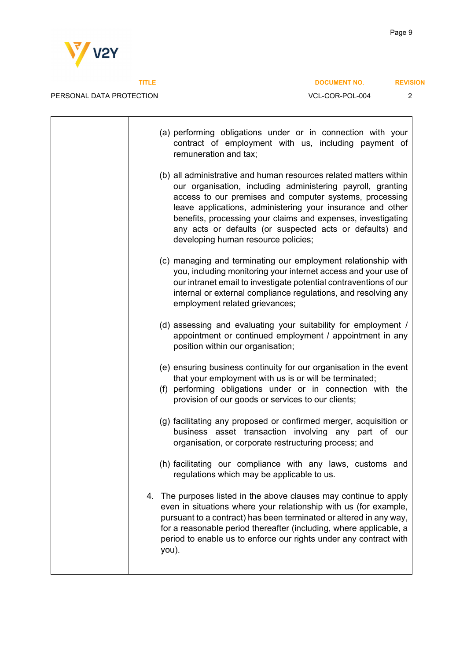**V**<sup>z</sup>/v2Y

PERSONAL DATA PROTECTION DESCRIPTION AND VCL-COR-POL-004 2

| (a) performing obligations under or in connection with your<br>contract of employment with us, including payment of<br>remuneration and tax;                                                                                                                                                                                                                                                                                 |
|------------------------------------------------------------------------------------------------------------------------------------------------------------------------------------------------------------------------------------------------------------------------------------------------------------------------------------------------------------------------------------------------------------------------------|
| (b) all administrative and human resources related matters within<br>our organisation, including administering payroll, granting<br>access to our premises and computer systems, processing<br>leave applications, administering your insurance and other<br>benefits, processing your claims and expenses, investigating<br>any acts or defaults (or suspected acts or defaults) and<br>developing human resource policies; |
| (c) managing and terminating our employment relationship with<br>you, including monitoring your internet access and your use of<br>our intranet email to investigate potential contraventions of our<br>internal or external compliance regulations, and resolving any<br>employment related grievances;                                                                                                                     |
| (d) assessing and evaluating your suitability for employment /<br>appointment or continued employment / appointment in any<br>position within our organisation;                                                                                                                                                                                                                                                              |
| (e) ensuring business continuity for our organisation in the event<br>that your employment with us is or will be terminated;<br>(f) performing obligations under or in connection with the<br>provision of our goods or services to our clients;                                                                                                                                                                             |
| (g) facilitating any proposed or confirmed merger, acquisition or<br>business asset transaction involving any part of our<br>organisation, or corporate restructuring process; and                                                                                                                                                                                                                                           |
| (h) facilitating our compliance with any laws, customs and<br>regulations which may be applicable to us.                                                                                                                                                                                                                                                                                                                     |
| The purposes listed in the above clauses may continue to apply<br>4.<br>even in situations where your relationship with us (for example,<br>pursuant to a contract) has been terminated or altered in any way,<br>for a reasonable period thereafter (including, where applicable, a<br>period to enable us to enforce our rights under any contract with<br>you).                                                           |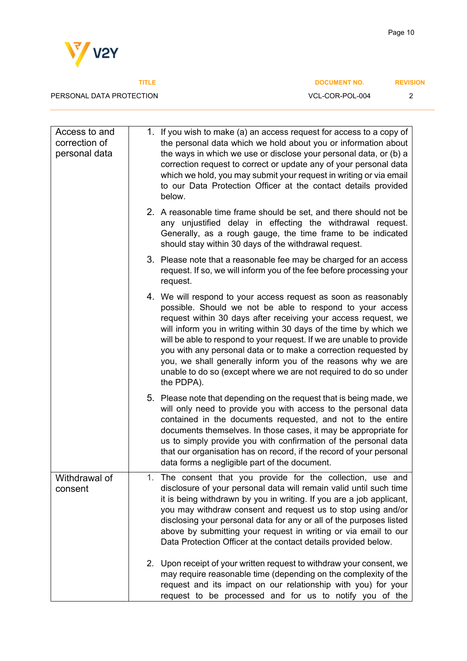

**Page 10** 

| Access to and<br>correction of<br>personal data | 1. If you wish to make (a) an access request for access to a copy of<br>the personal data which we hold about you or information about<br>the ways in which we use or disclose your personal data, or (b) a<br>correction request to correct or update any of your personal data<br>which we hold, you may submit your request in writing or via email<br>to our Data Protection Officer at the contact details provided<br>below.                                                                                                                               |
|-------------------------------------------------|------------------------------------------------------------------------------------------------------------------------------------------------------------------------------------------------------------------------------------------------------------------------------------------------------------------------------------------------------------------------------------------------------------------------------------------------------------------------------------------------------------------------------------------------------------------|
|                                                 | 2. A reasonable time frame should be set, and there should not be<br>any unjustified delay in effecting the withdrawal request.<br>Generally, as a rough gauge, the time frame to be indicated<br>should stay within 30 days of the withdrawal request.                                                                                                                                                                                                                                                                                                          |
|                                                 | 3. Please note that a reasonable fee may be charged for an access<br>request. If so, we will inform you of the fee before processing your<br>request.                                                                                                                                                                                                                                                                                                                                                                                                            |
|                                                 | 4. We will respond to your access request as soon as reasonably<br>possible. Should we not be able to respond to your access<br>request within 30 days after receiving your access request, we<br>will inform you in writing within 30 days of the time by which we<br>will be able to respond to your request. If we are unable to provide<br>you with any personal data or to make a correction requested by<br>you, we shall generally inform you of the reasons why we are<br>unable to do so (except where we are not required to do so under<br>the PDPA). |
|                                                 | 5. Please note that depending on the request that is being made, we<br>will only need to provide you with access to the personal data<br>contained in the documents requested, and not to the entire<br>documents themselves. In those cases, it may be appropriate for<br>us to simply provide you with confirmation of the personal data<br>that our organisation has on record, if the record of your personal<br>data forms a negligible part of the document.                                                                                               |
| Withdrawal of<br>consent                        | 1. The consent that you provide for the collection, use and<br>disclosure of your personal data will remain valid until such time<br>it is being withdrawn by you in writing. If you are a job applicant,<br>you may withdraw consent and request us to stop using and/or<br>disclosing your personal data for any or all of the purposes listed<br>above by submitting your request in writing or via email to our<br>Data Protection Officer at the contact details provided below.                                                                            |
|                                                 | 2. Upon receipt of your written request to withdraw your consent, we<br>may require reasonable time (depending on the complexity of the<br>request and its impact on our relationship with you) for your<br>request to be processed and for us to notify you of the                                                                                                                                                                                                                                                                                              |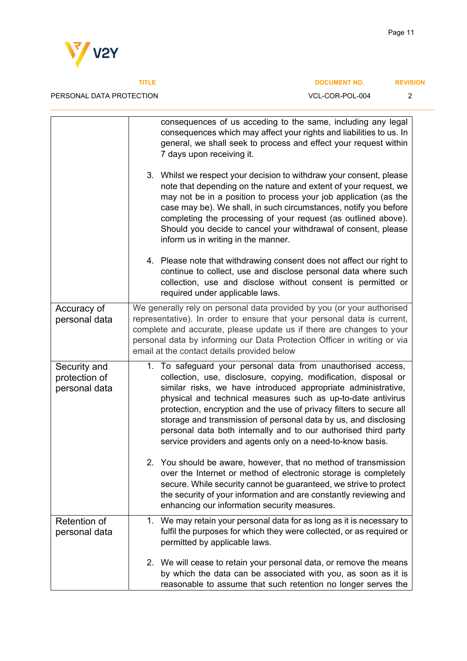



## PERSONAL DATA PROTECTION DESCRIPTION AND RESONAL CORPOL-004

|  | CL-COR-POL-004 |  |  |
|--|----------------|--|--|
|  |                |  |  |

|                                                | consequences of us acceding to the same, including any legal<br>consequences which may affect your rights and liabilities to us. In<br>general, we shall seek to process and effect your request within<br>7 days upon receiving it.                                                                                                                                                                                                                                                                                                        |  |  |
|------------------------------------------------|---------------------------------------------------------------------------------------------------------------------------------------------------------------------------------------------------------------------------------------------------------------------------------------------------------------------------------------------------------------------------------------------------------------------------------------------------------------------------------------------------------------------------------------------|--|--|
|                                                | 3. Whilst we respect your decision to withdraw your consent, please<br>note that depending on the nature and extent of your request, we<br>may not be in a position to process your job application (as the<br>case may be). We shall, in such circumstances, notify you before<br>completing the processing of your request (as outlined above).<br>Should you decide to cancel your withdrawal of consent, please<br>inform us in writing in the manner.                                                                                  |  |  |
|                                                | 4. Please note that withdrawing consent does not affect our right to<br>continue to collect, use and disclose personal data where such<br>collection, use and disclose without consent is permitted or<br>required under applicable laws.                                                                                                                                                                                                                                                                                                   |  |  |
| Accuracy of<br>personal data                   | We generally rely on personal data provided by you (or your authorised<br>representative). In order to ensure that your personal data is current,<br>complete and accurate, please update us if there are changes to your<br>personal data by informing our Data Protection Officer in writing or via<br>email at the contact details provided below                                                                                                                                                                                        |  |  |
| Security and<br>protection of<br>personal data | 1. To safeguard your personal data from unauthorised access,<br>collection, use, disclosure, copying, modification, disposal or<br>similar risks, we have introduced appropriate administrative,<br>physical and technical measures such as up-to-date antivirus<br>protection, encryption and the use of privacy filters to secure all<br>storage and transmission of personal data by us, and disclosing<br>personal data both internally and to our authorised third party<br>service providers and agents only on a need-to-know basis. |  |  |
|                                                | 2. You should be aware, however, that no method of transmission<br>over the Internet or method of electronic storage is completely<br>secure. While security cannot be guaranteed, we strive to protect<br>the security of your information and are constantly reviewing and<br>enhancing our information security measures.                                                                                                                                                                                                                |  |  |
| Retention of<br>personal data                  | 1. We may retain your personal data for as long as it is necessary to<br>fulfil the purposes for which they were collected, or as required or<br>permitted by applicable laws.                                                                                                                                                                                                                                                                                                                                                              |  |  |
|                                                | 2. We will cease to retain your personal data, or remove the means<br>by which the data can be associated with you, as soon as it is<br>reasonable to assume that such retention no longer serves the                                                                                                                                                                                                                                                                                                                                       |  |  |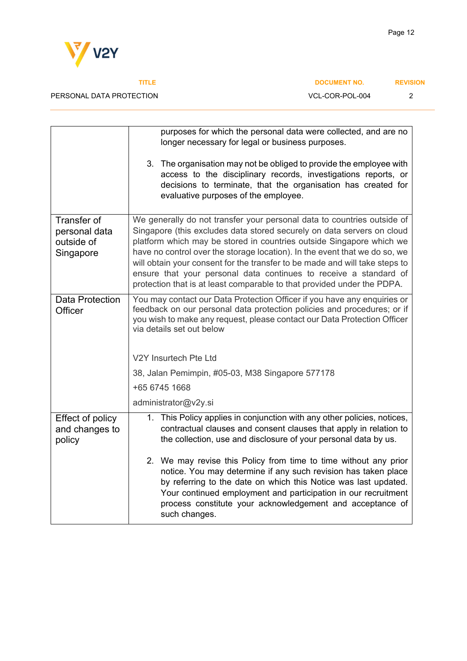

### PERSONAL DATA PROTECTION

| VCL-COR-POL-004 |  |
|-----------------|--|
|                 |  |

|                                                         | purposes for which the personal data were collected, and are no<br>longer necessary for legal or business purposes.                                                                                                                                                                                                                                                                                                                                                                                                                    |  |  |  |
|---------------------------------------------------------|----------------------------------------------------------------------------------------------------------------------------------------------------------------------------------------------------------------------------------------------------------------------------------------------------------------------------------------------------------------------------------------------------------------------------------------------------------------------------------------------------------------------------------------|--|--|--|
|                                                         | 3. The organisation may not be obliged to provide the employee with<br>access to the disciplinary records, investigations reports, or<br>decisions to terminate, that the organisation has created for<br>evaluative purposes of the employee.                                                                                                                                                                                                                                                                                         |  |  |  |
| Transfer of<br>personal data<br>outside of<br>Singapore | We generally do not transfer your personal data to countries outside of<br>Singapore (this excludes data stored securely on data servers on cloud<br>platform which may be stored in countries outside Singapore which we<br>have no control over the storage location). In the event that we do so, we<br>will obtain your consent for the transfer to be made and will take steps to<br>ensure that your personal data continues to receive a standard of<br>protection that is at least comparable to that provided under the PDPA. |  |  |  |
| <b>Data Protection</b><br>Officer                       | You may contact our Data Protection Officer if you have any enquiries or<br>feedback on our personal data protection policies and procedures; or if<br>you wish to make any request, please contact our Data Protection Officer<br>via details set out below                                                                                                                                                                                                                                                                           |  |  |  |
|                                                         | V2Y Insurtech Pte Ltd                                                                                                                                                                                                                                                                                                                                                                                                                                                                                                                  |  |  |  |
|                                                         | 38, Jalan Pemimpin, #05-03, M38 Singapore 577178                                                                                                                                                                                                                                                                                                                                                                                                                                                                                       |  |  |  |
|                                                         | +65 6745 1668                                                                                                                                                                                                                                                                                                                                                                                                                                                                                                                          |  |  |  |
|                                                         | administrator@v2y.si                                                                                                                                                                                                                                                                                                                                                                                                                                                                                                                   |  |  |  |
| Effect of policy<br>and changes to<br>policy            | This Policy applies in conjunction with any other policies, notices,<br>1.<br>contractual clauses and consent clauses that apply in relation to<br>the collection, use and disclosure of your personal data by us.                                                                                                                                                                                                                                                                                                                     |  |  |  |
|                                                         | 2. We may revise this Policy from time to time without any prior<br>notice. You may determine if any such revision has taken place<br>by referring to the date on which this Notice was last updated.<br>Your continued employment and participation in our recruitment<br>process constitute your acknowledgement and acceptance of<br>such changes.                                                                                                                                                                                  |  |  |  |